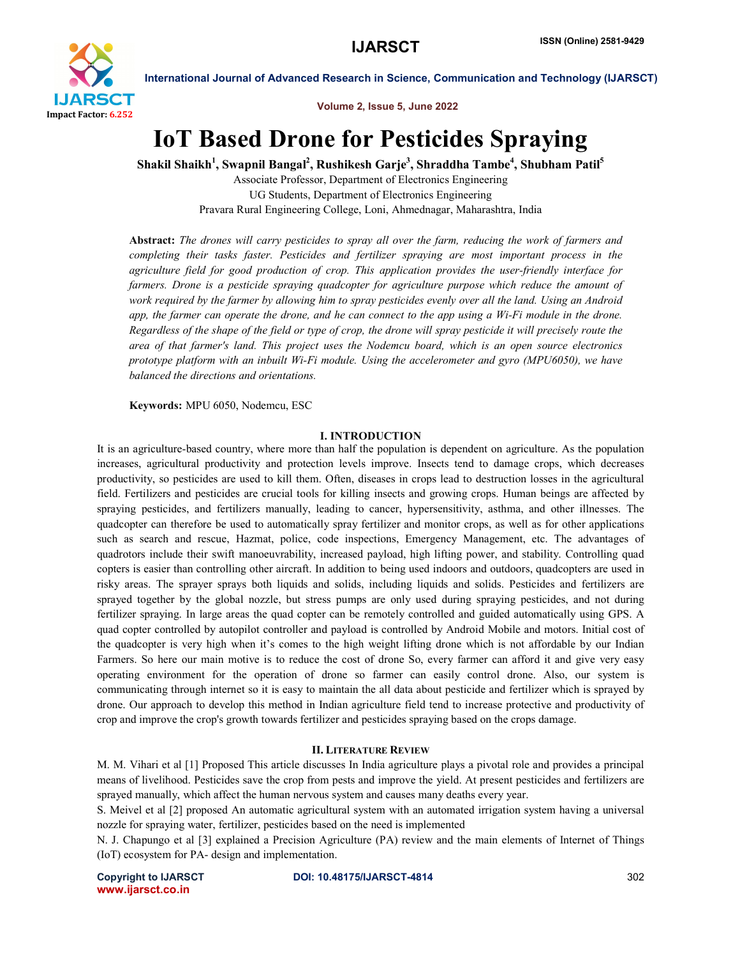

Volume 2, Issue 5, June 2022

# IoT Based Drone for Pesticides Spraying

Shakil Shaikh $^1$ , Swapnil Bangal $^2$ , Rushikesh Garje $^3$ , Shraddha Tambe $^4$ , Shubham Patil $^5$ 

Associate Professor, Department of Electronics Engineering UG Students, Department of Electronics Engineering Pravara Rural Engineering College, Loni, Ahmednagar, Maharashtra, India

Abstract: *The drones will carry pesticides to spray all over the farm, reducing the work of farmers and completing their tasks faster. Pesticides and fertilizer spraying are most important process in the agriculture field for good production of crop. This application provides the user-friendly interface for*  farmers. Drone is a pesticide spraying quadcopter for agriculture purpose which reduce the amount of *work required by the farmer by allowing him to spray pesticides evenly over all the land. Using an Android app, the farmer can operate the drone, and he can connect to the app using a Wi-Fi module in the drone. Regardless of the shape of the field or type of crop, the drone will spray pesticide it will precisely route the area of that farmer's land. This project uses the Nodemcu board, which is an open source electronics prototype platform with an inbuilt Wi-Fi module. Using the accelerometer and gyro (MPU6050), we have balanced the directions and orientations.*

Keywords: MPU 6050, Nodemcu, ESC

### I. INTRODUCTION

It is an agriculture-based country, where more than half the population is dependent on agriculture. As the population increases, agricultural productivity and protection levels improve. Insects tend to damage crops, which decreases productivity, so pesticides are used to kill them. Often, diseases in crops lead to destruction losses in the agricultural field. Fertilizers and pesticides are crucial tools for killing insects and growing crops. Human beings are affected by spraying pesticides, and fertilizers manually, leading to cancer, hypersensitivity, asthma, and other illnesses. The quadcopter can therefore be used to automatically spray fertilizer and monitor crops, as well as for other applications such as search and rescue, Hazmat, police, code inspections, Emergency Management, etc. The advantages of quadrotors include their swift manoeuvrability, increased payload, high lifting power, and stability. Controlling quad copters is easier than controlling other aircraft. In addition to being used indoors and outdoors, quadcopters are used in risky areas. The sprayer sprays both liquids and solids, including liquids and solids. Pesticides and fertilizers are sprayed together by the global nozzle, but stress pumps are only used during spraying pesticides, and not during fertilizer spraying. In large areas the quad copter can be remotely controlled and guided automatically using GPS. A quad copter controlled by autopilot controller and payload is controlled by Android Mobile and motors. Initial cost of the quadcopter is very high when it's comes to the high weight lifting drone which is not affordable by our Indian Farmers. So here our main motive is to reduce the cost of drone So, every farmer can afford it and give very easy operating environment for the operation of drone so farmer can easily control drone. Also, our system is communicating through internet so it is easy to maintain the all data about pesticide and fertilizer which is sprayed by drone. Our approach to develop this method in Indian agriculture field tend to increase protective and productivity of crop and improve the crop's growth towards fertilizer and pesticides spraying based on the crops damage.

# II. LITERATURE REVIEW

M. M. Vihari et al [1] Proposed This article discusses In India agriculture plays a pivotal role and provides a principal means of livelihood. Pesticides save the crop from pests and improve the yield. At present pesticides and fertilizers are sprayed manually, which affect the human nervous system and causes many deaths every year.

S. Meivel et al [2] proposed An automatic agricultural system with an automated irrigation system having a universal nozzle for spraying water, fertilizer, pesticides based on the need is implemented

N. J. Chapungo et al [3] explained a Precision Agriculture (PA) review and the main elements of Internet of Things (IoT) ecosystem for PA- design and implementation.

www.ijarsct.co.in

Copyright to IJARSCT DOI: 10.48175/IJARSCT-4814 **302**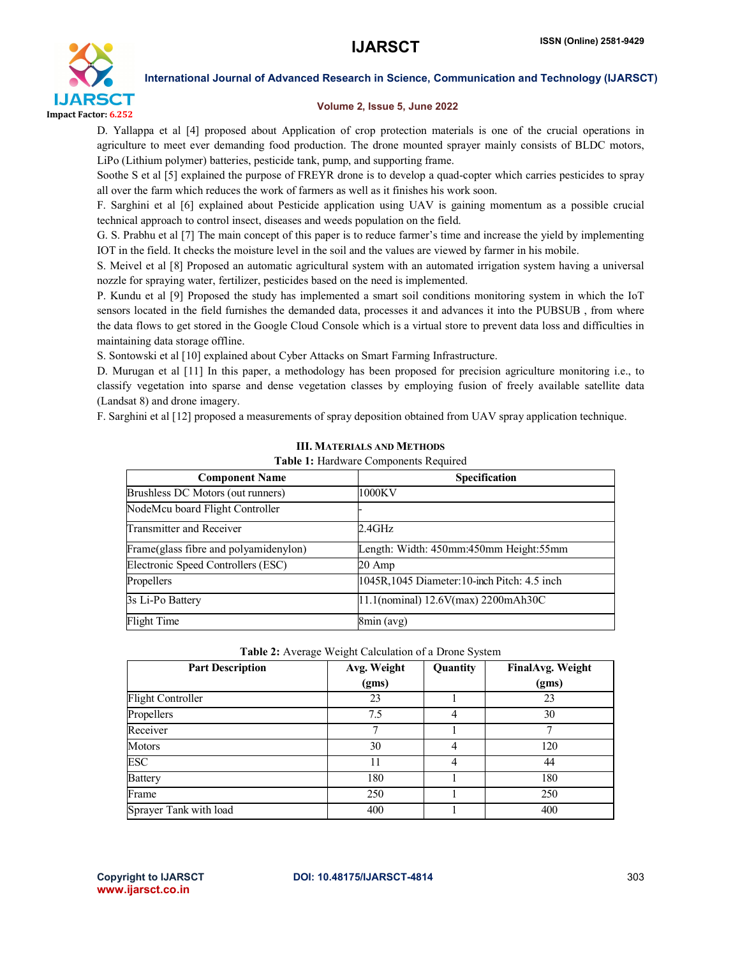

# Volume 2, Issue 5, June 2022

D. Yallappa et al [4] proposed about Application of crop protection materials is one of the crucial operations in agriculture to meet ever demanding food production. The drone mounted sprayer mainly consists of BLDC motors, LiPo (Lithium polymer) batteries, pesticide tank, pump, and supporting frame.

Soothe S et al [5] explained the purpose of FREYR drone is to develop a quad-copter which carries pesticides to spray all over the farm which reduces the work of farmers as well as it finishes his work soon.

F. Sarghini et al [6] explained about Pesticide application using UAV is gaining momentum as a possible crucial technical approach to control insect, diseases and weeds population on the field.

G. S. Prabhu et al [7] The main concept of this paper is to reduce farmer's time and increase the yield by implementing IOT in the field. It checks the moisture level in the soil and the values are viewed by farmer in his mobile.

S. Meivel et al [8] Proposed an automatic agricultural system with an automated irrigation system having a universal nozzle for spraying water, fertilizer, pesticides based on the need is implemented.

P. Kundu et al [9] Proposed the study has implemented a smart soil conditions monitoring system in which the IoT sensors located in the field furnishes the demanded data, processes it and advances it into the PUBSUB , from where the data flows to get stored in the Google Cloud Console which is a virtual store to prevent data loss and difficulties in maintaining data storage offline.

S. Sontowski et al [10] explained about Cyber Attacks on Smart Farming Infrastructure.

D. Murugan et al [11] In this paper, a methodology has been proposed for precision agriculture monitoring i.e., to classify vegetation into sparse and dense vegetation classes by employing fusion of freely available satellite data (Landsat 8) and drone imagery.

F. Sarghini et al [12] proposed a measurements of spray deposition obtained from UAV spray application technique.

| <b>Component Name</b>                  | <b>Specification</b>                          |  |
|----------------------------------------|-----------------------------------------------|--|
| Brushless DC Motors (out runners)      | 1000KV                                        |  |
| NodeMcu board Flight Controller        |                                               |  |
| Transmitter and Receiver               | 2.4GHz                                        |  |
| Frame (glass fibre and polyamidenylon) | Length: Width: 450mm: 450mm Height: 55mm      |  |
| Electronic Speed Controllers (ESC)     | 20 Amp                                        |  |
| Propellers                             | 1045R, 1045 Diameter: 10-inch Pitch: 4.5 inch |  |
| 3s Li-Po Battery                       | 11.1(nominal) 12.6V(max) 2200mAh30C           |  |
| Flight Time                            | 8min (avg)                                    |  |

# III. MATERIALS AND METHODS

Table 1: Hardware Components Required

#### Table 2: Average Weight Calculation of a Drone System

| <b>Part Description</b>  | Avg. Weight<br>(gms) | Quantity | <b>FinalAvg. Weight</b><br>(gms) |
|--------------------------|----------------------|----------|----------------------------------|
| <b>Flight Controller</b> | 23                   |          | 23                               |
| Propellers               | 7.5                  | 4        | 30                               |
| Receiver                 | 7                    |          | ┑                                |
| Motors                   | 30                   | 4        | 120                              |
| <b>ESC</b>               | 11                   | 4        | 44                               |
| <b>Battery</b>           | 180                  |          | 180                              |
| Frame                    | 250                  |          | 250                              |
| Sprayer Tank with load   | 400                  |          | 400                              |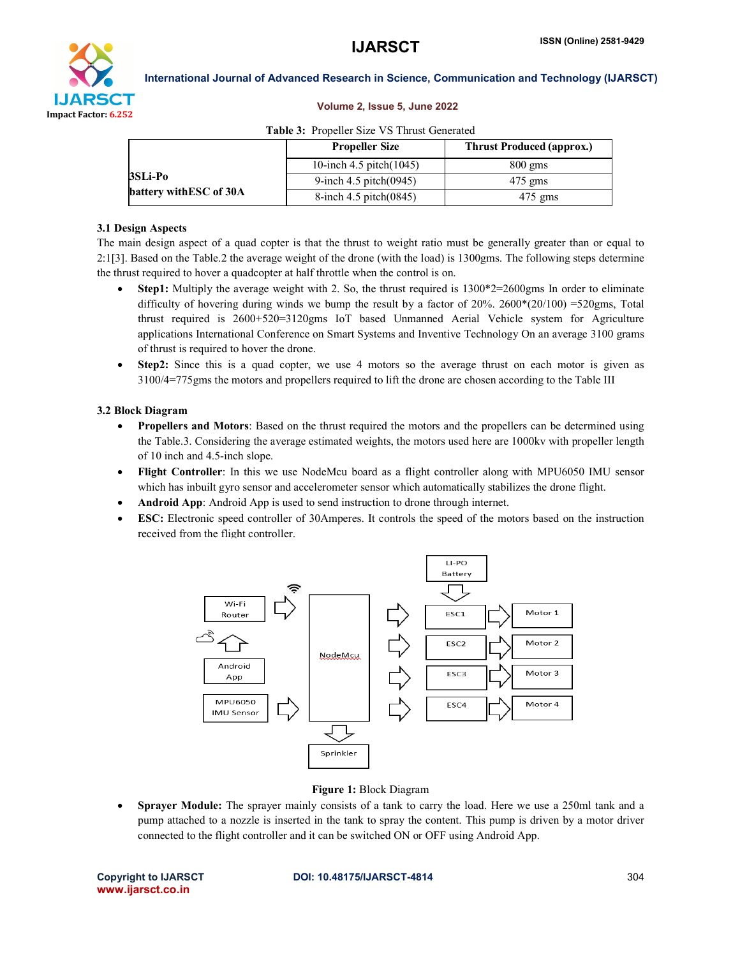

# Volume 2, Issue 5, June 2022

|                                    | <b>Propeller Size</b>         | <b>Thrust Produced (approx.)</b> |
|------------------------------------|-------------------------------|----------------------------------|
| 3SLi-Po<br>battery with ESC of 30A | 10-inch 4.5 pitch $(1045)$    | $800 \text{ gms}$                |
|                                    | 9-inch $4.5$ pitch $(0.0945)$ | $475$ gms                        |
|                                    | 8-inch $4.5$ pitch $(0845)$   | $475$ gms                        |

#### Table 3: Propeller Size VS Thrust Generated

#### 3.1 Design Aspects

The main design aspect of a quad copter is that the thrust to weight ratio must be generally greater than or equal to 2:1[3]. Based on the Table.2 the average weight of the drone (with the load) is 1300gms. The following steps determine the thrust required to hover a quadcopter at half throttle when the control is on.

- **Step1:** Multiply the average weight with 2. So, the thrust required is  $1300*2=2600$  gms In order to eliminate difficulty of hovering during winds we bump the result by a factor of 20%. 2600\*(20/100) =520gms, Total thrust required is 2600+520=3120gms IoT based Unmanned Aerial Vehicle system for Agriculture applications International Conference on Smart Systems and Inventive Technology On an average 3100 grams of thrust is required to hover the drone.
- Step2: Since this is a quad copter, we use 4 motors so the average thrust on each motor is given as 3100/4=775gms the motors and propellers required to lift the drone are chosen according to the Table III

#### 3.2 Block Diagram

- Propellers and Motors: Based on the thrust required the motors and the propellers can be determined using the Table.3. Considering the average estimated weights, the motors used here are 1000kv with propeller length of 10 inch and 4.5-inch slope.
- Flight Controller: In this we use NodeMcu board as a flight controller along with MPU6050 IMU sensor which has inbuilt gyro sensor and accelerometer sensor which automatically stabilizes the drone flight.
- Android App: Android App is used to send instruction to drone through internet.
- ESC: Electronic speed controller of 30Amperes. It controls the speed of the motors based on the instruction received from the flight controller.



#### Figure 1: Block Diagram

 Sprayer Module: The sprayer mainly consists of a tank to carry the load. Here we use a 250ml tank and a pump attached to a nozzle is inserted in the tank to spray the content. This pump is driven by a motor driver connected to the flight controller and it can be switched ON or OFF using Android App.

www.ijarsct.co.in

### Copyright to IJARSCT DOI: 10.48175/IJARSCT-4814 **304**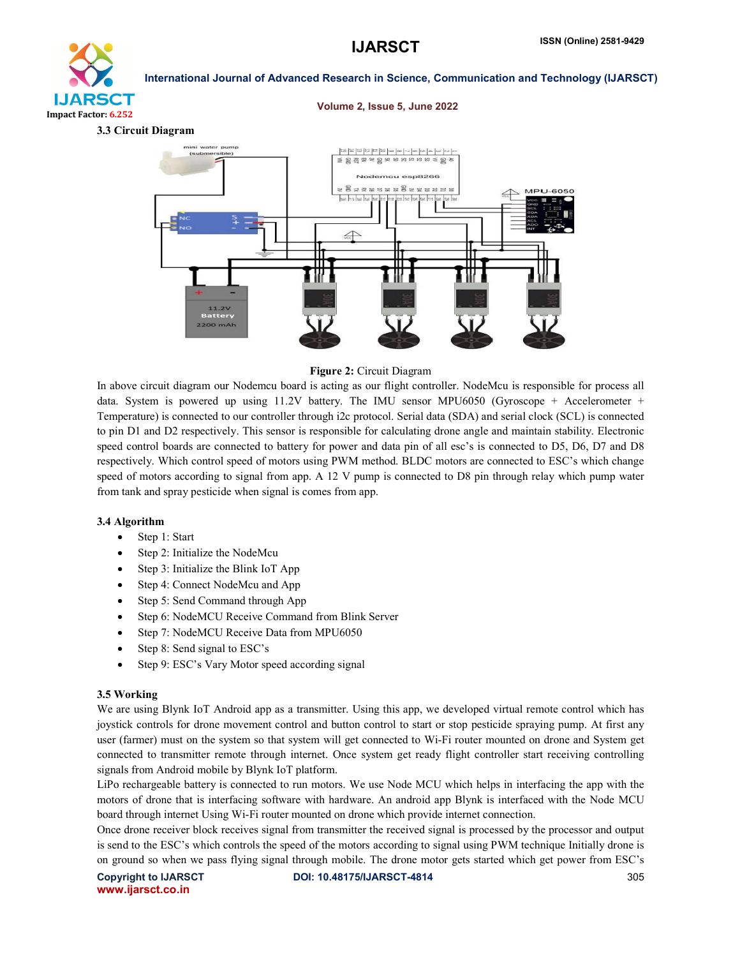

# 3.3 Circuit Diagram

#### Volume 2, Issue 5, June 2022



#### Figure 2: Circuit Diagram

In above circuit diagram our Nodemcu board is acting as our flight controller. NodeMcu is responsible for process all data. System is powered up using 11.2V battery. The IMU sensor MPU6050 (Gyroscope + Accelerometer + Temperature) is connected to our controller through i2c protocol. Serial data (SDA) and serial clock (SCL) is connected to pin D1 and D2 respectively. This sensor is responsible for calculating drone angle and maintain stability. Electronic speed control boards are connected to battery for power and data pin of all esc's is connected to D5, D6, D7 and D8 respectively. Which control speed of motors using PWM method. BLDC motors are connected to ESC's which change speed of motors according to signal from app. A 12 V pump is connected to D8 pin through relay which pump water from tank and spray pesticide when signal is comes from app.

#### 3.4 Algorithm

- Step 1: Start
- Step 2: Initialize the NodeMcu
- Step 3: Initialize the Blink IoT App
- Step 4: Connect NodeMcu and App
- Step 5: Send Command through App
- Step 6: NodeMCU Receive Command from Blink Server
- Step 7: NodeMCU Receive Data from MPU6050
- Step 8: Send signal to ESC's
- Step 9: ESC's Vary Motor speed according signal

#### 3.5 Working

We are using Blynk IoT Android app as a transmitter. Using this app, we developed virtual remote control which has joystick controls for drone movement control and button control to start or stop pesticide spraying pump. At first any user (farmer) must on the system so that system will get connected to Wi-Fi router mounted on drone and System get connected to transmitter remote through internet. Once system get ready flight controller start receiving controlling signals from Android mobile by Blynk IoT platform.

LiPo rechargeable battery is connected to run motors. We use Node MCU which helps in interfacing the app with the motors of drone that is interfacing software with hardware. An android app Blynk is interfaced with the Node MCU board through internet Using Wi-Fi router mounted on drone which provide internet connection.

Once drone receiver block receives signal from transmitter the received signal is processed by the processor and output is send to the ESC's which controls the speed of the motors according to signal using PWM technique Initially drone is on ground so when we pass flying signal through mobile. The drone motor gets started which get power from ESC's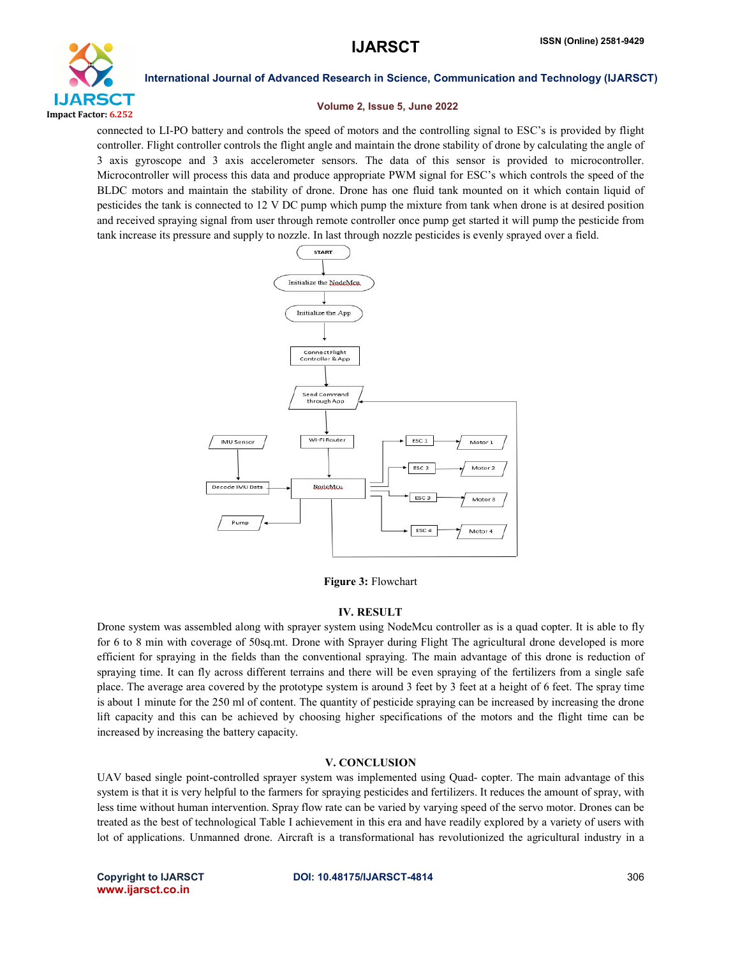

### Volume 2, Issue 5, June 2022

connected to LI-PO battery and controls the speed of motors and the controlling signal to ESC's is provided by flight controller. Flight controller controls the flight angle and maintain the drone stability of drone by calculating the angle of 3 axis gyroscope and 3 axis accelerometer sensors. The data of this sensor is provided to microcontroller. Microcontroller will process this data and produce appropriate PWM signal for ESC's which controls the speed of the BLDC motors and maintain the stability of drone. Drone has one fluid tank mounted on it which contain liquid of pesticides the tank is connected to 12 V DC pump which pump the mixture from tank when drone is at desired position and received spraying signal from user through remote controller once pump get started it will pump the pesticide from tank increase its pressure and supply to nozzle. In last through nozzle pesticides is evenly sprayed over a field.



Figure 3: Flowchart

# IV. RESULT

Drone system was assembled along with sprayer system using NodeMcu controller as is a quad copter. It is able to fly for 6 to 8 min with coverage of 50sq.mt. Drone with Sprayer during Flight The agricultural drone developed is more efficient for spraying in the fields than the conventional spraying. The main advantage of this drone is reduction of spraying time. It can fly across different terrains and there will be even spraying of the fertilizers from a single safe place. The average area covered by the prototype system is around 3 feet by 3 feet at a height of 6 feet. The spray time is about 1 minute for the 250 ml of content. The quantity of pesticide spraying can be increased by increasing the drone lift capacity and this can be achieved by choosing higher specifications of the motors and the flight time can be increased by increasing the battery capacity.

# V. CONCLUSION

UAV based single point-controlled sprayer system was implemented using Quad- copter. The main advantage of this system is that it is very helpful to the farmers for spraying pesticides and fertilizers. It reduces the amount of spray, with less time without human intervention. Spray flow rate can be varied by varying speed of the servo motor. Drones can be treated as the best of technological Table I achievement in this era and have readily explored by a variety of users with lot of applications. Unmanned drone. Aircraft is a transformational has revolutionized the agricultural industry in a

www.ijarsct.co.in